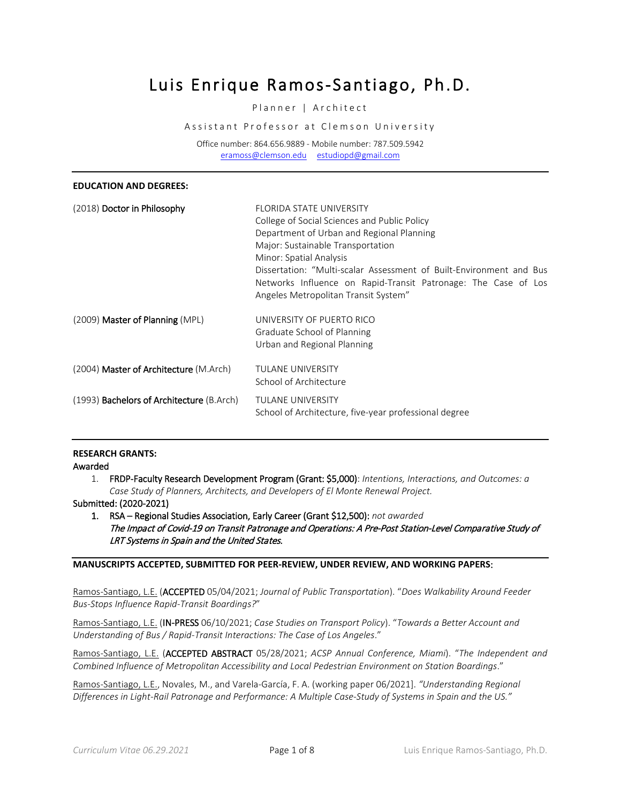# Luis Enrique Ramos-Santiago, Ph.D.

# Planner | Architect

Assistant Professor at Clemson University

Office number: 864.656.9889 - Mobile number: 787.509.5942 [eramoss@clemson.edu](mailto:eramoss@clemson.edu) [estudiopd@gmail.com](mailto:estudiopd@gmail.com)

| <b>EDUCATION AND DEGREES:</b>                    |                                                                                                                                                                                                                                                                                                                                                                               |
|--------------------------------------------------|-------------------------------------------------------------------------------------------------------------------------------------------------------------------------------------------------------------------------------------------------------------------------------------------------------------------------------------------------------------------------------|
| (2018) Doctor in Philosophy                      | <b>FLORIDA STATE UNIVERSITY</b><br>College of Social Sciences and Public Policy<br>Department of Urban and Regional Planning<br>Major: Sustainable Transportation<br>Minor: Spatial Analysis<br>Dissertation: "Multi-scalar Assessment of Built-Environment and Bus<br>Networks Influence on Rapid-Transit Patronage: The Case of Los<br>Angeles Metropolitan Transit System" |
| (2009) Master of Planning (MPL)                  | UNIVERSITY OF PUERTO RICO<br>Graduate School of Planning<br>Urban and Regional Planning                                                                                                                                                                                                                                                                                       |
| (2004) Master of Architecture (M.Arch)           | TULANE UNIVERSITY<br>School of Architecture                                                                                                                                                                                                                                                                                                                                   |
| (1993) <b>Bachelors of Architecture</b> (B.Arch) | <b>TULANE UNIVERSITY</b><br>School of Architecture, five-year professional degree                                                                                                                                                                                                                                                                                             |

# **RESEARCH GRANTS:**

Awarded

1. FRDP-Faculty Research Development Program (Grant: \$5,000): *Intentions, Interactions, and Outcomes: a Case Study of Planners, Architects, and Developers of El Monte Renewal Project.*

Submitted: (2020-2021)

1. RSA – Regional Studies Association, Early Career (Grant \$12,500): *not awarded* The Impact of Covid-19 on Transit Patronage and Operations: A Pre-Post Station-Level Comparative Study of LRT Systems in Spain and the United States.

## **MANUSCRIPTS ACCEPTED, SUBMITTED FOR PEER-REVIEW, UNDER REVIEW, AND WORKING PAPERS**:

Ramos-Santiago, L.E. (ACCEPTED 05/04/2021; *Journal of Public Transportation*). "*Does Walkability Around Feeder Bus-Stops Influence Rapid-Transit Boardings?*"

Ramos-Santiago, L.E. (IN-PRESS 06/10/2021; *Case Studies on Transport Policy*). "*Towards a Better Account and Understanding of Bus / Rapid-Transit Interactions: The Case of Los Angeles*."

Ramos-Santiago, L.E. (ACCEPTED ABSTRACT 05/28/2021; *ACSP Annual Conference, Miami*). "*The Independent and Combined Influence of Metropolitan Accessibility and Local Pedestrian Environment on Station Boardings*."

Ramos-Santiago, L.E., Novales, M., and Varela-García, F. A. (working paper 06/2021]. *"Understanding Regional Differences in Light-Rail Patronage and Performance: A Multiple Case-Study of Systems in Spain and the US."*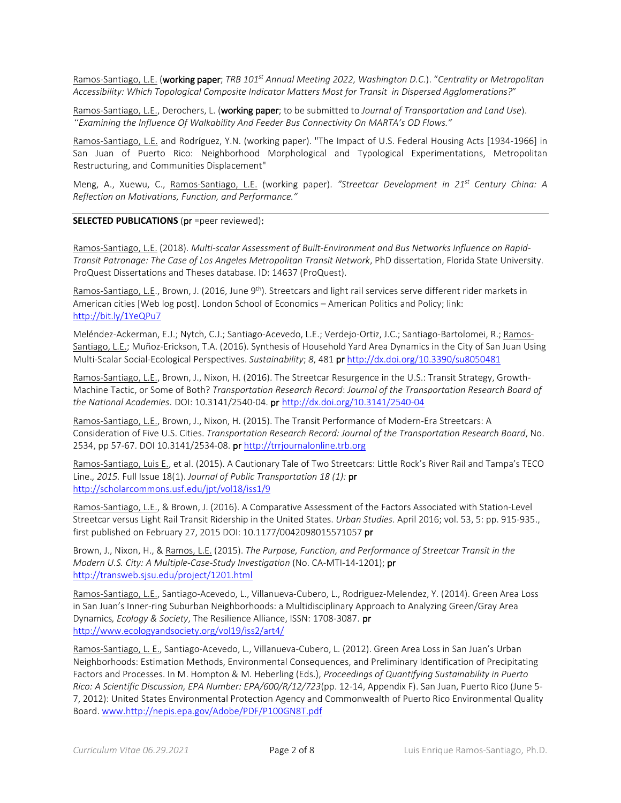Ramos-Santiago, L.E. (working paper; *TRB 101st Annual Meeting 2022, Washington D.C.*). "*Centrality or Metropolitan Accessibility: Which Topological Composite Indicator Matters Most for Transit in Dispersed Agglomerations?*"

Ramos-Santiago, L.E., Derochers, L. (working paper; to be submitted to *Journal of Transportation and Land Use*). *"Examining the Influence Of Walkability And Feeder Bus Connectivity On MARTA's OD Flows."*

Ramos-Santiago, L.E. and Rodríguez, Y.N. (working paper). "The Impact of U.S. Federal Housing Acts [1934-1966] in San Juan of Puerto Rico: Neighborhood Morphological and Typological Experimentations, Metropolitan Restructuring, and Communities Displacement"

Meng, A., Xuewu, C., Ramos-Santiago, L.E. (working paper). *"Streetcar Development in 21st Century China: A Reflection on Motivations, Function, and Performance."*

#### **SELECTED PUBLICATIONS** (pr =peer reviewed):

Ramos-Santiago, L.E. (2018). *Multi-scalar Assessment of Built-Environment and Bus Networks Influence on Rapid-Transit Patronage: The Case of Los Angeles Metropolitan Transit Network*, PhD dissertation, Florida State University. ProQuest Dissertations and Theses database. ID: 14637 (ProQuest).

Ramos-Santiago, L.E., Brown, J. (2016, June 9<sup>th</sup>). Streetcars and light rail services serve different rider markets in American cities [Web log post]. London School of Economics – American Politics and Policy; link: <http://bit.ly/1YeQPu7>

Meléndez-Ackerman, E.J.; Nytch, C.J.; Santiago-Acevedo, L.E.; Verdejo-Ortiz, J.C.; Santiago-Bartolomei, R.; Ramos-Santiago, L.E.; Muñoz-Erickson, T.A. (2016). Synthesis of Household Yard Area Dynamics in the City of San Juan Using Multi-Scalar Social-Ecological Perspectives. *Sustainability*; *8*, 481 p[r http://dx.doi.org/10.3390/su8050481](http://dx.doi.org/10.3390/su8050481) 

Ramos-Santiago, L.E., Brown, J., Nixon, H. (2016). The Streetcar Resurgence in the U.S.: Transit Strategy, Growth-Machine Tactic, or Some of Both? *Transportation Research Record*: *Journal of the Transportation Research Board of the National Academies*. DOI: 10.3141/2540-04. pr <http://dx.doi.org/10.3141/2540-04>

Ramos-Santiago, L.E., Brown, J., Nixon, H. (2015). The Transit Performance of Modern-Era Streetcars: A Consideration of Five U.S. Cities. *Transportation Research Record: Journal of the Transportation Research Board*, No. 2534, pp 57-67. DOI 10.3141/2534-08. pr http://trrjournalonline.trb.org

Ramos-Santiago, Luis E., et al. (2015). A Cautionary Tale of Two Streetcars: Little Rock's River Rail and Tampa's TECO Line.*, 2015.* Full Issue 18(1). *Journal of Public Transportation 18 (1):* pr <http://scholarcommons.usf.edu/jpt/vol18/iss1/9>

Ramos-Santiago, L.E., & Brown, J. (2016). A Comparative Assessment of the Factors Associated with Station-Level Streetcar versus Light Rail Transit Ridership in the United States. *Urban Studies*. April 2016; vol. 53, 5: pp. 915-935., first published on February 27, 2015 DOI: 10.1177/0042098015571057 pr

Brown, J., Nixon, H., & Ramos, L.E. (2015). *The Purpose, Function, and Performance of Streetcar Transit in the Modern U.S. City: A Multiple-Case-Study Investigation* (No. CA-MTI-14-1201); pr <http://transweb.sjsu.edu/project/1201.html>

Ramos-Santiago, L.E., Santiago-Acevedo, L., Villanueva-Cubero, L., Rodriguez-Melendez, Y. (2014). Green Area Loss in San Juan's Inner-ring Suburban Neighborhoods: a Multidisciplinary Approach to Analyzing Green/Gray Area Dynamics*, Ecology & Society*, The Resilience Alliance, ISSN: 1708-3087. pr <http://www.ecologyandsociety.org/vol19/iss2/art4/>

Ramos-Santiago, L. E., Santiago-Acevedo, L., Villanueva-Cubero, L. (2012). Green Area Loss in San Juan's Urban Neighborhoods: Estimation Methods, Environmental Consequences, and Preliminary Identification of Precipitating Factors and Processes. In M. Hompton & M. Heberling (Eds.), *Proceedings of Quantifying Sustainability in Puerto Rico: A Scientific Discussion, EPA Number: EPA/600/R/12/723*(pp. 12-14, Appendix F). San Juan, Puerto Rico (June 5- 7, 2012): United States Environmental Protection Agency and Commonwealth of Puerto Rico Environmental Quality Board[. www.http://nepis.epa.gov/Adobe/PDF/P100GN8T.pdf](http://www.http/nepis.epa.gov/Adobe/PDF/P100GN8T.pdf)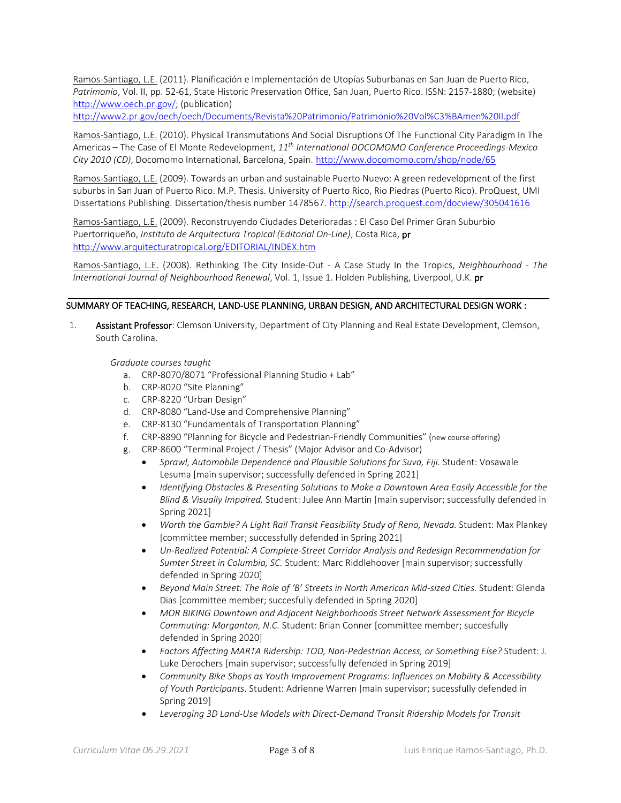Ramos-Santiago, L.E. (2011). Planificación e Implementación de Utopías Suburbanas en San Juan de Puerto Rico, *Patrimonio*, Vol. II, pp. 52-61, State Historic Preservation Office, San Juan, Puerto Rico. ISSN: 2157-1880; (website) [http://www.oech.pr.gov/;](http://www.oech.pr.gov/) (publication)

<http://www2.pr.gov/oech/oech/Documents/Revista%20Patrimonio/Patrimonio%20Vol%C3%BAmen%20II.pdf>

Ramos-Santiago, L.E. (2010). Physical Transmutations And Social Disruptions Of The Functional City Paradigm In The Americas – The Case of El Monte Redevelopment, *11th International DOCOMOMO Conference Proceedings-Mexico City 2010 (CD)*, Docomomo International, Barcelona, Spain. <http://www.docomomo.com/shop/node/65>

Ramos-Santiago, L.E. (2009). Towards an urban and sustainable Puerto Nuevo: A green redevelopment of the first suburbs in San Juan of Puerto Rico. M.P. Thesis. University of Puerto Rico, Rio Piedras (Puerto Rico). ProQuest, UMI Dissertations Publishing. Dissertation/thesis number 1478567. <http://search.proquest.com/docview/305041616>

Ramos-Santiago, L.E. (2009). Reconstruyendo Ciudades Deterioradas : El Caso Del Primer Gran Suburbio Puertorriqueño, *Instituto de Arquitectura Tropical (Editorial On-Line)*, Costa Rica, pr <http://www.arquitecturatropical.org/EDITORIAL/INDEX.htm>

Ramos-Santiago, L.E. (2008). Rethinking The City Inside-Out - A Case Study In the Tropics, *Neighbourhood - The International Journal of Neighbourhood Renewal*, Vol. 1, Issue 1. Holden Publishing, Liverpool, U.K. pr

#### SUMMARY OF TEACHING, RESEARCH, LAND-USE PLANNING, URBAN DESIGN, AND ARCHITECTURAL DESIGN WORK :

1. Assistant Professor: Clemson University, Department of City Planning and Real Estate Development, Clemson, South Carolina.

*Graduate courses taught*

- a. CRP-8070/8071 "Professional Planning Studio + Lab"
- b. CRP-8020 "Site Planning"
- c. CRP-8220 "Urban Design"
- d. CRP-8080 "Land-Use and Comprehensive Planning"
- e. CRP-8130 "Fundamentals of Transportation Planning"
- f. CRP-8890 "Planning for Bicycle and Pedestrian-Friendly Communities" (new course offering)
- g. CRP-8600 "Terminal Project / Thesis" (Major Advisor and Co-Advisor)
	- *Sprawl, Automobile Dependence and Plausible Solutions for Suva, Fiji.* Student: Vosawale Lesuma [main supervisor; successfully defended in Spring 2021]
	- *Identifying Obstacles & Presenting Solutions to Make a Downtown Area Easily Accessible for the Blind & Visually Impaired.* Student: Julee Ann Martin [main supervisor; successfully defended in Spring 2021]
	- *Worth the Gamble? A Light Rail Transit Feasibility Study of Reno, Nevada.* Student: Max Plankey [committee member; successfully defended in Spring 2021]
	- *Un-Realized Potential: A Complete-Street Corridor Analysis and Redesign Recommendation for Sumter Street in Columbia, SC.* Student: Marc Riddlehoover [main supervisor; successfully defended in Spring 2020]
	- *Beyond Main Street: The Role of 'B' Streets in North American Mid-sized Cities.* Student: Glenda Dias [committee member; succesfully defended in Spring 2020]
	- *MOR BIKING Downtown and Adjacent Neighborhoods Street Network Assessment for Bicycle Commuting: Morganton, N.C.* Student: Brian Conner [committee member; succesfully defended in Spring 2020]
	- *Factors Affecting MARTA Ridership: TOD, Non-Pedestrian Access, or Something Else?* Student: J. Luke Derochers [main supervisor; successfully defended in Spring 2019]
	- *Community Bike Shops as Youth Improvement Programs: Influences on Mobility & Accessibility of Youth Participants*. Student: Adrienne Warren [main supervisor; sucessfully defended in Spring 2019]
	- *Leveraging 3D Land-Use Models with Direct-Demand Transit Ridership Models for Transit*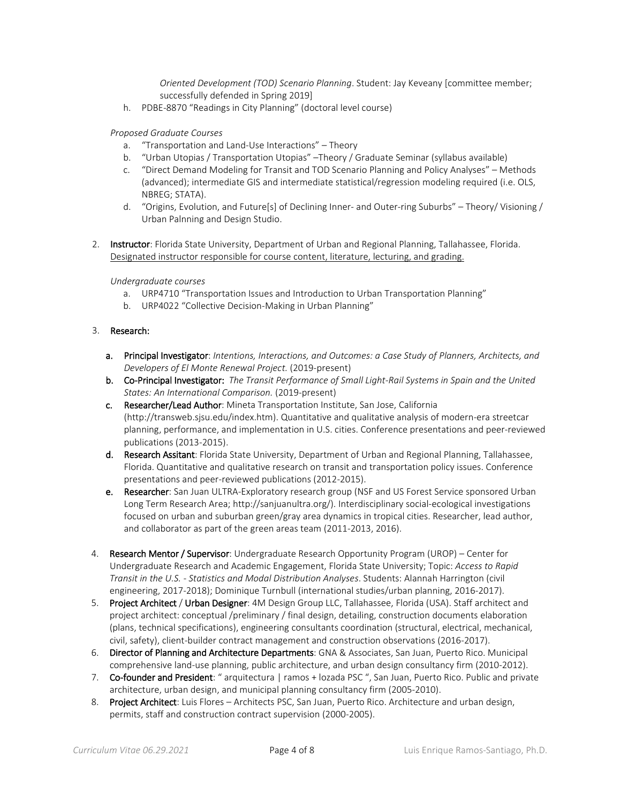*Oriented Development (TOD) Scenario Planning*. Student: Jay Keveany [committee member; successfully defended in Spring 2019]

h. PDBE-8870 "Readings in City Planning" (doctoral level course)

#### *Proposed Graduate Courses*

- a. "Transportation and Land-Use Interactions" Theory
- b. "Urban Utopias / Transportation Utopias" –Theory / Graduate Seminar (syllabus available)
- c. "Direct Demand Modeling for Transit and TOD Scenario Planning and Policy Analyses" Methods (advanced); intermediate GIS and intermediate statistical/regression modeling required (i.e. OLS, NBREG; STATA).
- d. "Origins, Evolution, and Future[s] of Declining Inner- and Outer-ring Suburbs" Theory/ Visioning / Urban Palnning and Design Studio.
- 2. Instructor: Florida State University, Department of Urban and Regional Planning, Tallahassee, Florida. Designated instructor responsible for course content, literature, lecturing, and grading.

#### *Undergraduate courses*

- a. URP4710 "Transportation Issues and Introduction to Urban Transportation Planning"
- b. URP4022 "Collective Decision-Making in Urban Planning"

## 3. Research:

- a. Principal Investigator: *Intentions, Interactions, and Outcomes: a Case Study of Planners, Architects, and Developers of El Monte Renewal Project.* (2019-present)
- b. Co-Principal Investigator: *The Transit Performance of Small Light-Rail Systems in Spain and the United States: An International Comparison.* (2019-present)
- c. Researcher/Lead Author: Mineta Transportation Institute, San Jose, California (http://transweb.sjsu.edu/index.htm). Quantitative and qualitative analysis of modern-era streetcar planning, performance, and implementation in U.S. cities. Conference presentations and peer-reviewed publications (2013-2015).
- d. Research Assitant: Florida State University, Department of Urban and Regional Planning, Tallahassee, Florida. Quantitative and qualitative research on transit and transportation policy issues. Conference presentations and peer-reviewed publications (2012-2015).
- e. Researcher: San Juan ULTRA-Exploratory research group (NSF and US Forest Service sponsored Urban Long Term Research Area; http://sanjuanultra.org/). Interdisciplinary social-ecological investigations focused on urban and suburban green/gray area dynamics in tropical cities. Researcher, lead author, and collaborator as part of the green areas team (2011-2013, 2016).
- 4. Research Mentor / Supervisor: Undergraduate Research Opportunity Program (UROP) Center for Undergraduate Research and Academic Engagement, Florida State University; Topic: *Access to Rapid Transit in the U.S. - Statistics and Modal Distribution Analyses*. Students: Alannah Harrington (civil engineering, 2017-2018); Dominique Turnbull (international studies/urban planning, 2016-2017).
- 5. Project Architect / Urban Designer: 4M Design Group LLC, Tallahassee, Florida (USA). Staff architect and project architect: conceptual /preliminary / final design, detailing, construction documents elaboration (plans, technical specifications), engineering consultants coordination (structural, electrical, mechanical, civil, safety), client-builder contract management and construction observations (2016-2017).
- 6. Director of Planning and Architecture Departments: GNA & Associates, San Juan, Puerto Rico. Municipal comprehensive land-use planning, public architecture, and urban design consultancy firm (2010-2012).
- 7. Co-founder and President: " arquitectura | ramos + lozada PSC ", San Juan, Puerto Rico. Public and private architecture, urban design, and municipal planning consultancy firm (2005-2010).
- 8. Project Architect: Luis Flores Architects PSC, San Juan, Puerto Rico. Architecture and urban design, permits, staff and construction contract supervision (2000-2005).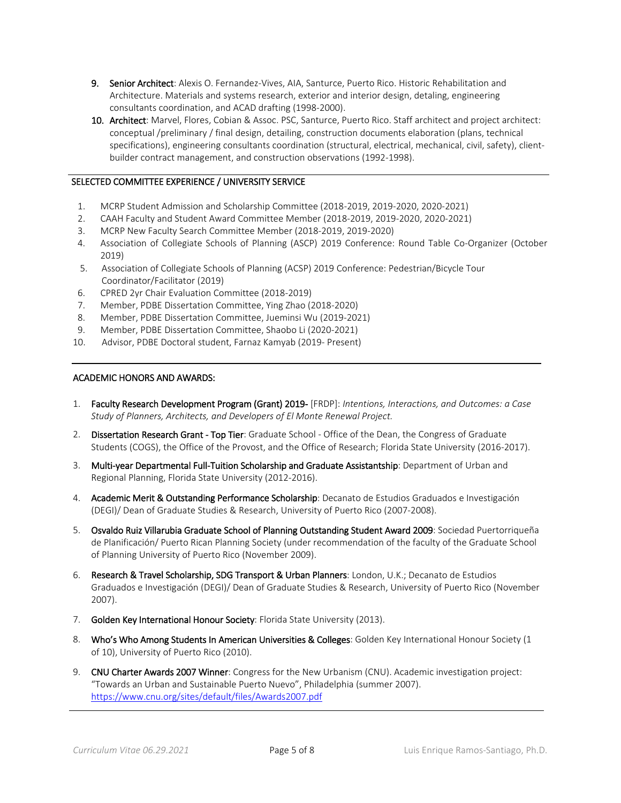- 9. Senior Architect: Alexis O. Fernandez-Vives, AIA, Santurce, Puerto Rico. Historic Rehabilitation and Architecture. Materials and systems research, exterior and interior design, detaling, engineering consultants coordination, and ACAD drafting (1998-2000).
- 10. Architect: Marvel, Flores, Cobian & Assoc. PSC, Santurce, Puerto Rico. Staff architect and project architect: conceptual /preliminary / final design, detailing, construction documents elaboration (plans, technical specifications), engineering consultants coordination (structural, electrical, mechanical, civil, safety), clientbuilder contract management, and construction observations (1992-1998).

# SELECTED COMMITTEE EXPERIENCE / UNIVERSITY SERVICE

- 1. MCRP Student Admission and Scholarship Committee (2018-2019, 2019-2020, 2020-2021)
- 2. CAAH Faculty and Student Award Committee Member (2018-2019, 2019-2020, 2020-2021)
- 3. MCRP New Faculty Search Committee Member (2018-2019, 2019-2020)
- 4. Association of Collegiate Schools of Planning (ASCP) 2019 Conference: Round Table Co-Organizer (October 2019)
- 5. Association of Collegiate Schools of Planning (ACSP) 2019 Conference: Pedestrian/Bicycle Tour Coordinator/Facilitator (2019)
- 6. CPRED 2yr Chair Evaluation Committee (2018-2019)
- 7. Member, PDBE Dissertation Committee, Ying Zhao (2018-2020)
- 8. Member, PDBE Dissertation Committee, Jueminsi Wu (2019-2021)
- 9. Member, PDBE Dissertation Committee, Shaobo Li (2020-2021)
- 10. Advisor, PDBE Doctoral student, Farnaz Kamyab (2019- Present)

#### ACADEMIC HONORS AND AWARDS:

- 1. Faculty Research Development Program (Grant) 2019- [FRDP]: *Intentions, Interactions, and Outcomes: a Case Study of Planners, Architects, and Developers of El Monte Renewal Project.*
- 2. Dissertation Research Grant Top Tier: Graduate School Office of the Dean, the Congress of Graduate Students (COGS), the Office of the Provost, and the Office of Research; Florida State University (2016-2017).
- 3. Multi-year Departmental Full-Tuition Scholarship and Graduate Assistantship: Department of Urban and Regional Planning, Florida State University (2012-2016).
- 4. Academic Merit & Outstanding Performance Scholarship: Decanato de Estudios Graduados e Investigación (DEGI)/ Dean of Graduate Studies & Research, University of Puerto Rico (2007-2008).
- 5. Osvaldo Ruiz Villarubia Graduate School of Planning Outstanding Student Award 2009: Sociedad Puertorriqueña de Planificación/ Puerto Rican Planning Society (under recommendation of the faculty of the Graduate School of Planning University of Puerto Rico (November 2009).
- 6. Research & Travel Scholarship, SDG Transport & Urban Planners: London, U.K.; Decanato de Estudios Graduados e Investigación (DEGI)/ Dean of Graduate Studies & Research, University of Puerto Rico (November 2007).
- 7. Golden Key International Honour Society: Florida State University (2013).
- 8. Who's Who Among Students In American Universities & Colleges: Golden Key International Honour Society (1 of 10), University of Puerto Rico (2010).
- 9. CNU Charter Awards 2007 Winner: Congress for the New Urbanism (CNU). Academic investigation project: "Towards an Urban and Sustainable Puerto Nuevo", Philadelphia (summer 2007). <https://www.cnu.org/sites/default/files/Awards2007.pdf>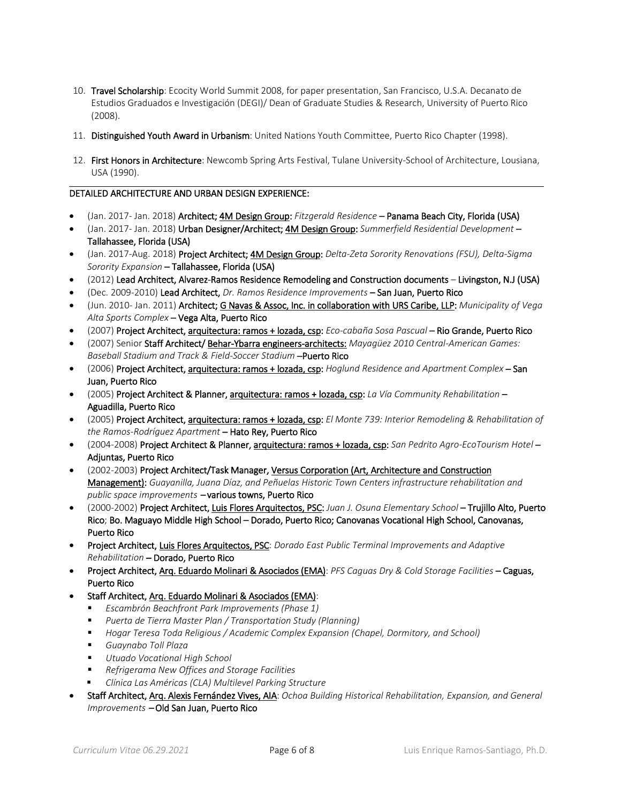- 10. Travel Scholarship: Ecocity World Summit 2008, for paper presentation, San Francisco, U.S.A. Decanato de Estudios Graduados e Investigación (DEGI)/ Dean of Graduate Studies & Research, University of Puerto Rico (2008).
- 11. Distinguished Youth Award in Urbanism: United Nations Youth Committee, Puerto Rico Chapter (1998).
- 12. First Honors in Architecture: Newcomb Spring Arts Festival, Tulane University-School of Architecture, Lousiana, USA (1990).

#### DETAILED ARCHITECTURE AND URBAN DESIGN EXPERIENCE:

- (Jan. 2017- Jan. 2018) Architect; 4M Design Group: *Fitzgerald Residence* Panama Beach City, Florida (USA)
- (Jan. 2017- Jan. 2018) Urban Designer/Architect; 4M Design Group: *Summerfield Residential Development* Tallahassee, Florida (USA)
- (Jan. 2017-Aug. 2018) Project Architect; 4M Design Group: *Delta-Zeta Sorority Renovations (FSU), Delta-Sigma Sorority Expansion* – Tallahassee, Florida (USA)
- (2012) Lead Architect, Alvarez-Ramos Residence Remodeling and Construction documents Livingston, N.J (USA)
- (Dec. 2009-2010) Lead Architect, *Dr. Ramos Residence Improvements* San Juan, Puerto Rico
- (Jun. 2010- Jan. 2011) Architect; G Navas & Assoc, Inc. in collaboration with URS Caribe, LLP: *Municipality of Vega Alta Sports Complex* – Vega Alta, Puerto Rico
- (2007) Project Architect, arquitectura: ramos + lozada, csp: *Eco-cabaña Sosa Pascual* Rio Grande, Puerto Rico
- (2007) Senior Staff Architect/ Behar-Ybarra engineers-architects: *Mayagüez 2010 Central-American Games: Baseball Stadium and Track & Field-Soccer Stadium* –Puerto Rico
- (2006) Project Architect, arquitectura: ramos + lozada, csp: *Hoglund Residence and Apartment Complex* San Juan, Puerto Rico
- (2005) Project Architect & Planner, arquitectura: ramos + lozada, csp: *La Vía Community Rehabilitation* Aguadilla, Puerto Rico
- (2005) Project Architect, arquitectura: ramos + lozada, csp: *El Monte 739: Interior Remodeling & Rehabilitation of the Ramos-Rodríguez Apartment* – Hato Rey, Puerto Rico
- (2004-2008) Project Architect & Planner, arquitectura: ramos + lozada, csp: *San Pedrito Agro-EcoTourism Hotel* Adjuntas, Puerto Rico
- (2002-2003) Project Architect/Task Manager, Versus Corporation (Art, Architecture and Construction Management): *Guayanilla, Juana Díaz, and Peñuelas Historic Town Centers infrastructure rehabilitation and public space improvements* – various towns, Puerto Rico
- (2000-2002) Project Architect, Luis Flores Arquitectos, PSC: *Juan J. Osuna Elementary School* Trujillo Alto, Puerto Rico; Bo. Maguayo Middle High School – Dorado, Puerto Rico; Canovanas Vocational High School, Canovanas, Puerto Rico
- Project Architect, Luis Flores Arquitectos, PSC: *Dorado East Public Terminal Improvements and Adaptive Rehabilitation* – Dorado, Puerto Rico
- Project Architect, Arq. Eduardo Molinari & Asociados (EMA): *PFS Caguas Dry & Cold Storage Facilities* Caguas, Puerto Rico
- Staff Architect, Arq. Eduardo Molinari & Asociados (EMA):
	- *Escambrón Beachfront Park Improvements (Phase 1)*
	- *Puerta de Tierra Master Plan / Transportation Study (Planning)*
	- *Hogar Teresa Toda Religious / Academic Complex Expansion (Chapel, Dormitory, and School)*
	- *Guaynabo Toll Plaza*
	- *Utuado Vocational High School*
	- *Refrigerama New Offices and Storage Facilities*
	- *Clínica Las Américas (CLA) Multilevel Parking Structure*
- Staff Architect, Arq. Alexis Fernández Vives, AIA: *Ochoa Building Historical Rehabilitation, Expansion, and General Improvements* – Old San Juan, Puerto Rico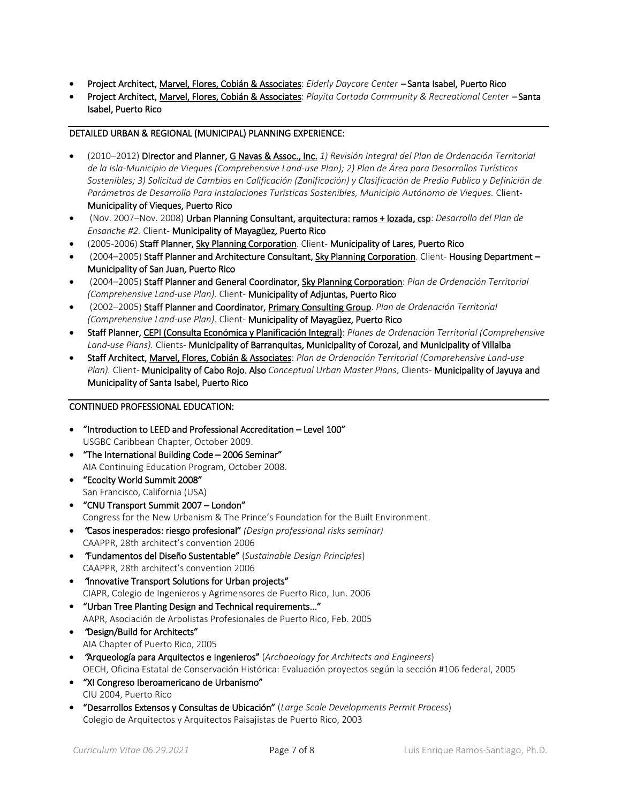- Project Architect, Marvel, Flores, Cobián & Associates: *Elderly Daycare Center* Santa Isabel, Puerto Rico
- Project Architect, Marvel, Flores, Cobián & Associates: *Playita Cortada Community & Recreational Center* Santa Isabel, Puerto Rico

# DETAILED URBAN & REGIONAL (MUNICIPAL) PLANNING EXPERIENCE:

- (2010–2012) Director and Planner, G Navas & Assoc., Inc. *1) Revisión Integral del Plan de Ordenación Territorial de la Isla-Municipio de Vieques (Comprehensive Land-use Plan); 2) Plan de Área para Desarrollos Turísticos Sostenibles; 3) Solicitud de Cambios en Calificación (Zonificación) y Clasificación de Predio Publico y Definición de Parámetros de Desarrollo Para Instalaciones Turísticas Sostenibles, Municipio Autónomo de Vieques.* Client-Municipality of Vieques, Puerto Rico
- (Nov. 2007–Nov. 2008) Urban Planning Consultant, arquitectura: ramos + lozada, csp: *Desarrollo del Plan de Ensanche #2.* Client- Municipality of Mayagüez, Puerto Rico
- (2005-2006) Staff Planner, Sky Planning Corporation. Client- Municipality of Lares, Puerto Rico
- (2004–2005) Staff Planner and Architecture Consultant, Sky Planning Corporation. Client- Housing Department -Municipality of San Juan, Puerto Rico
- (2004–2005) Staff Planner and General Coordinator, Sky Planning Corporation: *Plan de Ordenación Territorial (Comprehensive Land-use Plan).* Client- Municipality of Adjuntas, Puerto Rico
- (2002–2005) Staff Planner and Coordinator, Primary Consulting Group. *Plan de Ordenación Territorial (Comprehensive Land-use Plan).* Client- Municipality of Mayagüez, Puerto Rico
- Staff Planner, CEPI (Consulta Económica y Planificación Integral): *Planes de Ordenación Territorial (Comprehensive Land-use Plans).* Clients- Municipality of Barranquitas, Municipality of Corozal, and Municipality of Villalba
- Staff Architect, Marvel, Flores, Cobián & Associates: *Plan de Ordenación Territorial (Comprehensive Land-use Plan).* Client- Municipality of Cabo Rojo. Also *Conceptual Urban Master Plans*. Clients- Municipality of Jayuya and Municipality of Santa Isabel, Puerto Rico

## CONTINUED PROFESSIONAL EDUCATION:

- "Introduction to LEED and Professional Accreditation Level 100" USGBC Caribbean Chapter, October 2009.
- "The International Building Code 2006 Seminar" AIA Continuing Education Program, October 2008.
- "Ecocity World Summit 2008" San Francisco, California (USA)
- "CNU Transport Summit 2007 London" Congress for the New Urbanism & The Prince's Foundation for the Built Environment.
- "Casos inesperados: riesgo profesional" *(Design professional risks seminar)* CAAPPR, 28th architect's convention 2006
- "Fundamentos del Diseño Sustentable" (*Sustainable Design Principles*) CAAPPR, 28th architect's convention 2006
- "Innovative Transport Solutions for Urban projects" CIAPR, Colegio de Ingenieros y Agrimensores de Puerto Rico, Jun. 2006
- "Urban Tree Planting Design and Technical requirements..." AAPR, Asociación de Arbolistas Profesionales de Puerto Rico, Feb. 2005
- "Design/Build for Architects" AIA Chapter of Puerto Rico, 2005
- "Arqueología para Arquitectos e Ingenieros" (*Archaeology for Architects and Engineers*) OECH, Oficina Estatal de Conservación Histórica: Evaluación proyectos según la sección #106 federal, 2005
- "XI Congreso Iberoamericano de Urbanismo" CIU 2004, Puerto Rico
- "Desarrollos Extensos y Consultas de Ubicación" (*Large Scale Developments Permit Process*) Colegio de Arquitectos y Arquitectos Paisajistas de Puerto Rico, 2003